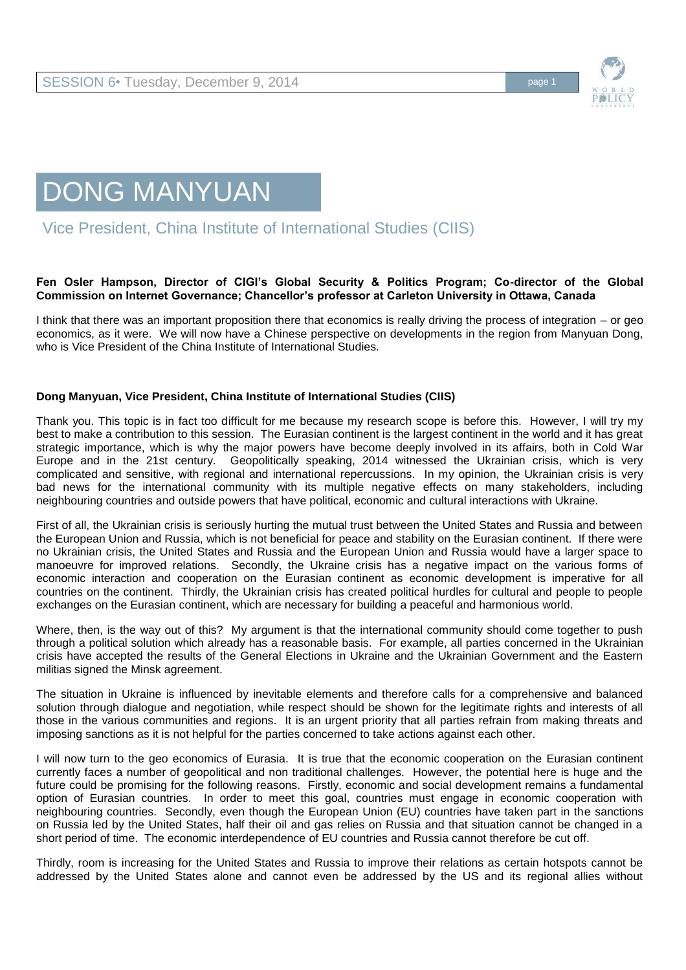



Vice President, China Institute of International Studies (CIIS)

## **Fen Osler Hampson, Director of CIGI's Global Security & Politics Program; Co-director of the Global Commission on Internet Governance; Chancellor's professor at Carleton University in Ottawa, Canada**

I think that there was an important proposition there that economics is really driving the process of integration – or geo economics, as it were. We will now have a Chinese perspective on developments in the region from Manyuan Dong, who is Vice President of the China Institute of International Studies.

## **Dong Manyuan, Vice President, China Institute of International Studies (CIIS)**

Thank you. This topic is in fact too difficult for me because my research scope is before this. However, I will try my best to make a contribution to this session. The Eurasian continent is the largest continent in the world and it has great strategic importance, which is why the major powers have become deeply involved in its affairs, both in Cold War Europe and in the 21st century. Geopolitically speaking, 2014 witnessed the Ukrainian crisis, which is very complicated and sensitive, with regional and international repercussions. In my opinion, the Ukrainian crisis is very bad news for the international community with its multiple negative effects on many stakeholders, including neighbouring countries and outside powers that have political, economic and cultural interactions with Ukraine.

First of all, the Ukrainian crisis is seriously hurting the mutual trust between the United States and Russia and between the European Union and Russia, which is not beneficial for peace and stability on the Eurasian continent. If there were no Ukrainian crisis, the United States and Russia and the European Union and Russia would have a larger space to manoeuvre for improved relations. Secondly, the Ukraine crisis has a negative impact on the various forms of economic interaction and cooperation on the Eurasian continent as economic development is imperative for all countries on the continent. Thirdly, the Ukrainian crisis has created political hurdles for cultural and people to people exchanges on the Eurasian continent, which are necessary for building a peaceful and harmonious world.

Where, then, is the way out of this? My argument is that the international community should come together to push through a political solution which already has a reasonable basis. For example, all parties concerned in the Ukrainian crisis have accepted the results of the General Elections in Ukraine and the Ukrainian Government and the Eastern militias signed the Minsk agreement.

The situation in Ukraine is influenced by inevitable elements and therefore calls for a comprehensive and balanced solution through dialogue and negotiation, while respect should be shown for the legitimate rights and interests of all those in the various communities and regions. It is an urgent priority that all parties refrain from making threats and imposing sanctions as it is not helpful for the parties concerned to take actions against each other.

I will now turn to the geo economics of Eurasia. It is true that the economic cooperation on the Eurasian continent currently faces a number of geopolitical and non traditional challenges. However, the potential here is huge and the future could be promising for the following reasons. Firstly, economic and social development remains a fundamental option of Eurasian countries. In order to meet this goal, countries must engage in economic cooperation with neighbouring countries. Secondly, even though the European Union (EU) countries have taken part in the sanctions on Russia led by the United States, half their oil and gas relies on Russia and that situation cannot be changed in a short period of time. The economic interdependence of EU countries and Russia cannot therefore be cut off.

Thirdly, room is increasing for the United States and Russia to improve their relations as certain hotspots cannot be addressed by the United States alone and cannot even be addressed by the US and its regional allies without